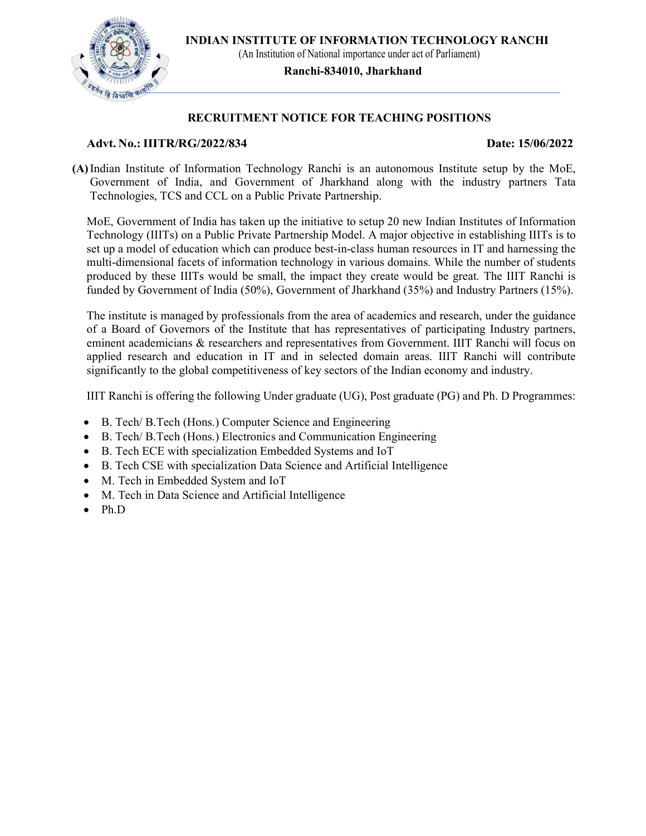

## RECRUITMENT NOTICE FOR TEACHING POSITIONS

### Advt. No.: IIITR/RG/2022/834 Date: 15/06/2022

(A)Indian Institute of Information Technology Ranchi is an autonomous Institute setup by the MoE, Government of India, and Government of Jharkhand along with the industry partners Tata Technologies, TCS and CCL on a Public Private Partnership.

MoE, Government of India has taken up the initiative to setup 20 new Indian Institutes of Information Technology (IIITs) on a Public Private Partnership Model. A major objective in establishing IIITs is to set up a model of education which can produce best-in-class human resources in IT and harnessing the multi-dimensional facets of information technology in various domains. While the number of students produced by these IIITs would be small, the impact they create would be great. The IIIT Ranchi is funded by Government of India (50%), Government of Jharkhand (35%) and Industry Partners (15%).

The institute is managed by professionals from the area of academics and research, under the guidance of a Board of Governors of the Institute that has representatives of participating Industry partners, eminent academicians & researchers and representatives from Government. IIIT Ranchi will focus on applied research and education in IT and in selected domain areas. IIIT Ranchi will contribute significantly to the global competitiveness of key sectors of the Indian economy and industry.

IIIT Ranchi is offering the following Under graduate (UG), Post graduate (PG) and Ph. D Programmes:

- B. Tech/ B.Tech (Hons.) Computer Science and Engineering
- B. Tech/ B.Tech (Hons.) Electronics and Communication Engineering
- B. Tech ECE with specialization Embedded Systems and IoT
- B. Tech CSE with specialization Data Science and Artificial Intelligence
- M. Tech in Embedded System and IoT
- M. Tech in Data Science and Artificial Intelligence
- Ph.D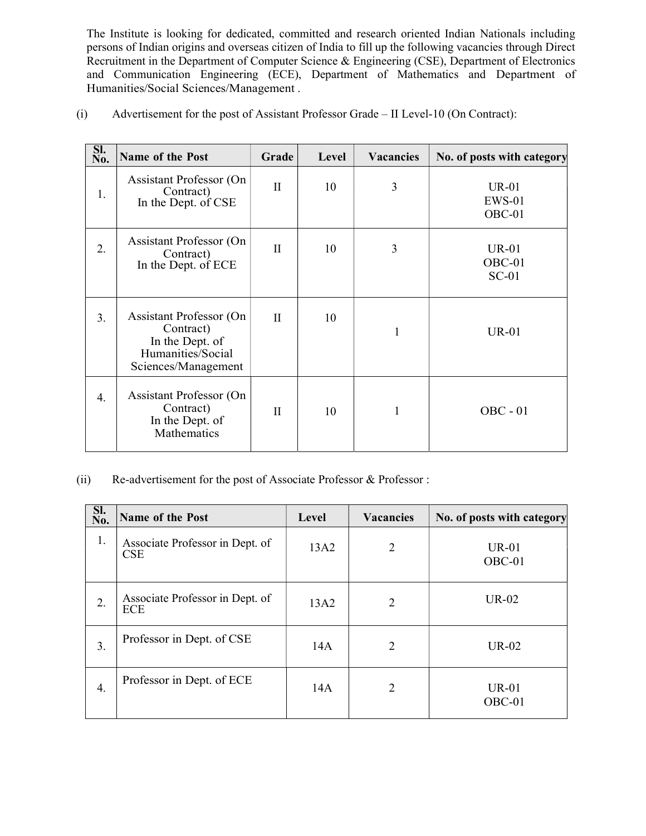The Institute is looking for dedicated, committed and research oriented Indian Nationals including persons of Indian origins and overseas citizen of India to fill up the following vacancies through Direct Recruitment in the Department of Computer Science & Engineering (CSE), Department of Electronics and Communication Engineering (ECE), Department of Mathematics and Department of Humanities/Social Sciences/Management .

| Sl.<br>No. | Name of the Post                                                                                           | Grade        | Level | <b>Vacancies</b> | No. of posts with category      |
|------------|------------------------------------------------------------------------------------------------------------|--------------|-------|------------------|---------------------------------|
| 1.         | <b>Assistant Professor (On</b><br>Contract)<br>In the Dept. of CSE                                         | $\mathbf{I}$ | 10    | 3                | $UR-01$<br>$EWS-01$<br>$OBC-01$ |
| 2.         | <b>Assistant Professor (On</b><br>Contract)<br>In the Dept. of ECE                                         | $\mathbf{I}$ | 10    | 3                | $UR-01$<br>$OBC-01$<br>$SC-01$  |
| 3.         | <b>Assistant Professor (On</b><br>Contract)<br>In the Dept. of<br>Humanities/Social<br>Sciences/Management | $\mathbf{I}$ | 10    | $\mathbf{1}$     | $UR-01$                         |
| 4.         | <b>Assistant Professor (On</b><br>Contract)<br>In the Dept. of<br>Mathematics                              | $\mathbf{I}$ | 10    | $\mathbf{1}$     | $OBC - 01$                      |

(i) Advertisement for the post of Assistant Professor Grade – II Level-10 (On Contract):

(ii) Re-advertisement for the post of Associate Professor & Professor :

| SI.<br>No. | Name of the Post                              | Level | <b>Vacancies</b> | No. of posts with category |
|------------|-----------------------------------------------|-------|------------------|----------------------------|
| 1.         | Associate Professor in Dept. of<br><b>CSE</b> | 13A2  | 2                | $UR-01$<br>$OBC-01$        |
| 2.         | Associate Professor in Dept. of<br>ECE        | 13A2  | 2                | $UR-02$                    |
| 3.         | Professor in Dept. of CSE                     | 14A   | 2                | $UR-02$                    |
| 4.         | Professor in Dept. of ECE                     | 14A   | $\overline{2}$   | <b>UR-01</b><br>OBC-01     |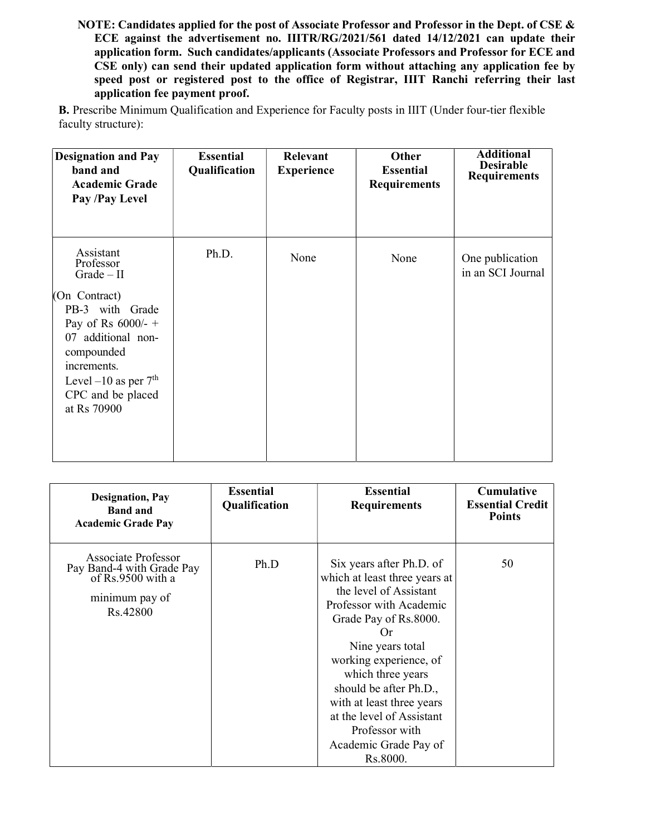NOTE: Candidates applied for the post of Associate Professor and Professor in the Dept. of CSE & ECE against the advertisement no. IIITR/RG/2021/561 dated 14/12/2021 can update their application form. Such candidates/applicants (Associate Professors and Professor for ECE and CSE only) can send their updated application form without attaching any application fee by speed post or registered post to the office of Registrar, IIIT Ranchi referring their last application fee payment proof.

B. Prescribe Minimum Qualification and Experience for Faculty posts in IIIT (Under four-tier flexible faculty structure):

| <b>Designation and Pay</b><br>band and<br><b>Academic Grade</b><br>Pay /Pay Level                                                                                                                                   | <b>Essential</b><br>Qualification | Relevant<br><b>Experience</b> | Other<br><b>Essential</b><br><b>Requirements</b> | <b>Additional</b><br><b>Desirable</b><br><b>Requirements</b> |
|---------------------------------------------------------------------------------------------------------------------------------------------------------------------------------------------------------------------|-----------------------------------|-------------------------------|--------------------------------------------------|--------------------------------------------------------------|
| Assistant<br>Professor<br>$Grade - II$<br>(On Contract)<br>PB-3 with Grade<br>Pay of Rs $6000/+$<br>07 additional non-<br>compounded<br>increments.<br>Level $-10$ as per $7th$<br>CPC and be placed<br>at Rs 70900 | Ph.D.                             | None                          | None                                             | One publication<br>in an SCI Journal                         |

| <b>Designation</b> , Pay<br><b>Band and</b><br><b>Academic Grade Pay</b>                            | <b>Essential</b><br>Qualification | <b>Essential</b><br><b>Requirements</b>                                                                                                                                                                                                                                                                                                                     | <b>Cumulative</b><br><b>Essential Credit</b><br><b>Points</b> |
|-----------------------------------------------------------------------------------------------------|-----------------------------------|-------------------------------------------------------------------------------------------------------------------------------------------------------------------------------------------------------------------------------------------------------------------------------------------------------------------------------------------------------------|---------------------------------------------------------------|
| Associate Professor<br>Pay Band-4 with Grade Pay<br>of Rs.9500 with a<br>minimum pay of<br>Rs.42800 | Ph.D                              | Six years after Ph.D. of<br>which at least three years at<br>the level of Assistant<br>Professor with Academic<br>Grade Pay of Rs.8000.<br>Or<br>Nine years total<br>working experience, of<br>which three years<br>should be after Ph.D.,<br>with at least three years<br>at the level of Assistant<br>Professor with<br>Academic Grade Pay of<br>Rs.8000. | 50                                                            |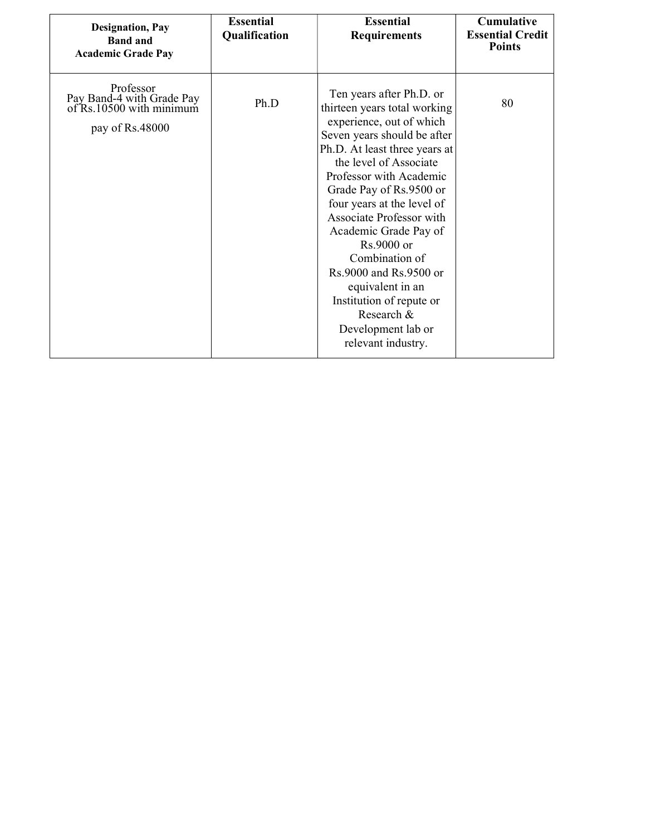| <b>Designation</b> , Pay<br><b>Band and</b><br><b>Academic Grade Pay</b>              | <b>Essential</b><br>Qualification | <b>Essential</b><br><b>Requirements</b>                                                                                                                                                                                                                                                                                                                                                                                                                                                     | <b>Cumulative</b><br><b>Essential Credit</b><br><b>Points</b> |
|---------------------------------------------------------------------------------------|-----------------------------------|---------------------------------------------------------------------------------------------------------------------------------------------------------------------------------------------------------------------------------------------------------------------------------------------------------------------------------------------------------------------------------------------------------------------------------------------------------------------------------------------|---------------------------------------------------------------|
| Professor<br>Pay Band-4 with Grade Pay<br>of Rs.10500 with minimum<br>pay of Rs.48000 | Ph.D                              | Ten years after Ph.D. or<br>thirteen years total working<br>experience, out of which<br>Seven years should be after<br>Ph.D. At least three years at<br>the level of Associate<br>Professor with Academic<br>Grade Pay of Rs.9500 or<br>four years at the level of<br>Associate Professor with<br>Academic Grade Pay of<br>Rs.9000 or<br>Combination of<br>Rs.9000 and Rs.9500 or<br>equivalent in an<br>Institution of repute or<br>Research &<br>Development lab or<br>relevant industry. | 80                                                            |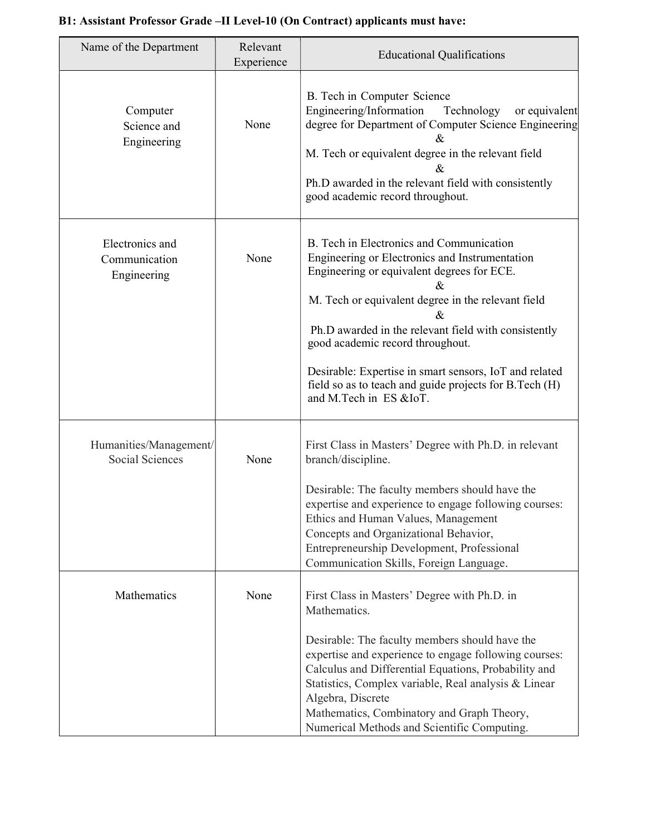# Name of the Department | Relevant Educational Qualifications<br>Experience Computer Science and Engineering None B. Tech in Computer Science Engineering/Information Technology or equivalent degree for Department of Computer Science Engineering & M. Tech or equivalent degree in the relevant field  $\mathcal{R}_{\mathcal{L}}$ Ph.D awarded in the relevant field with consistently good academic record throughout. Electronics and Communication Engineering None B. Tech in Electronics and Communication Engineering or Electronics and Instrumentation Engineering or equivalent degrees for ECE. & M. Tech or equivalent degree in the relevant field & Ph.D awarded in the relevant field with consistently good academic record throughout. Desirable: Expertise in smart sensors, IoT and related field so as to teach and guide projects for B.Tech (H) and M.Tech in ES &IoT. Humanities/Management/ Social Sciences None First Class in Masters' Degree with Ph.D. in relevant branch/discipline. Desirable: The faculty members should have the expertise and experience to engage following courses: Ethics and Human Values, Management Concepts and Organizational Behavior, Entrepreneurship Development, Professional Communication Skills, Foreign Language. Mathematics None First Class in Masters' Degree with Ph.D. in Mathematics. Desirable: The faculty members should have the expertise and experience to engage following courses: Calculus and Differential Equations, Probability and Statistics, Complex variable, Real analysis & Linear Algebra, Discrete Mathematics, Combinatory and Graph Theory, Numerical Methods and Scientific Computing.

# B1: Assistant Professor Grade –II Level-10 (On Contract) applicants must have: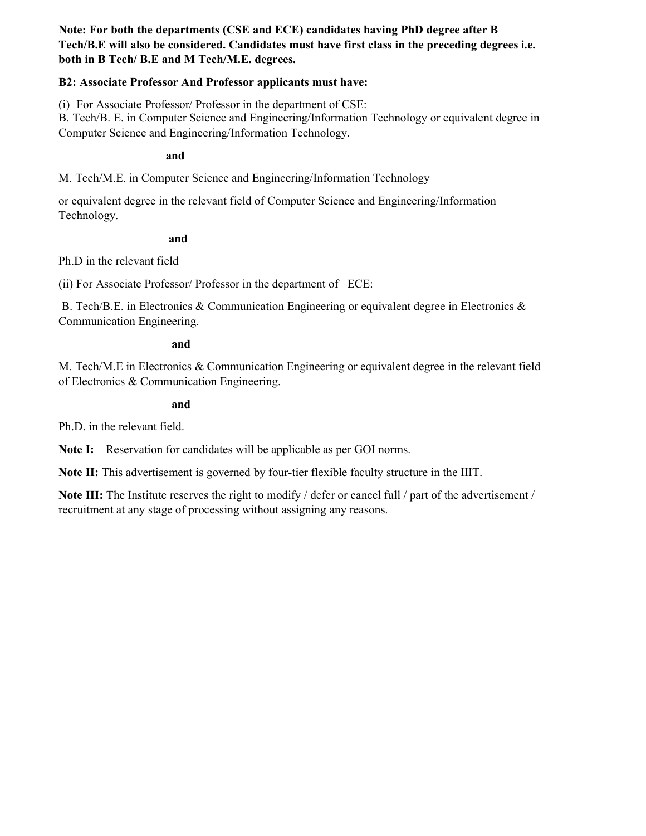Note: For both the departments (CSE and ECE) candidates having PhD degree after B Tech/B.E will also be considered. Candidates must have first class in the preceding degrees i.e. both in B Tech/ B.E and M Tech/M.E. degrees.

## B2: Associate Professor And Professor applicants must have:

(i) For Associate Professor/ Professor in the department of CSE:

B. Tech/B. E. in Computer Science and Engineering/Information Technology or equivalent degree in Computer Science and Engineering/Information Technology.

and

M. Tech/M.E. in Computer Science and Engineering/Information Technology

or equivalent degree in the relevant field of Computer Science and Engineering/Information Technology.

and

Ph.D in the relevant field

(ii) For Associate Professor/ Professor in the department of ECE:

 B. Tech/B.E. in Electronics & Communication Engineering or equivalent degree in Electronics & Communication Engineering.

### and

M. Tech/M.E in Electronics & Communication Engineering or equivalent degree in the relevant field of Electronics & Communication Engineering.

### and

Ph.D. in the relevant field.

Note I: Reservation for candidates will be applicable as per GOI norms.

Note II: This advertisement is governed by four-tier flexible faculty structure in the IIIT.

Note III: The Institute reserves the right to modify / defer or cancel full / part of the advertisement / recruitment at any stage of processing without assigning any reasons.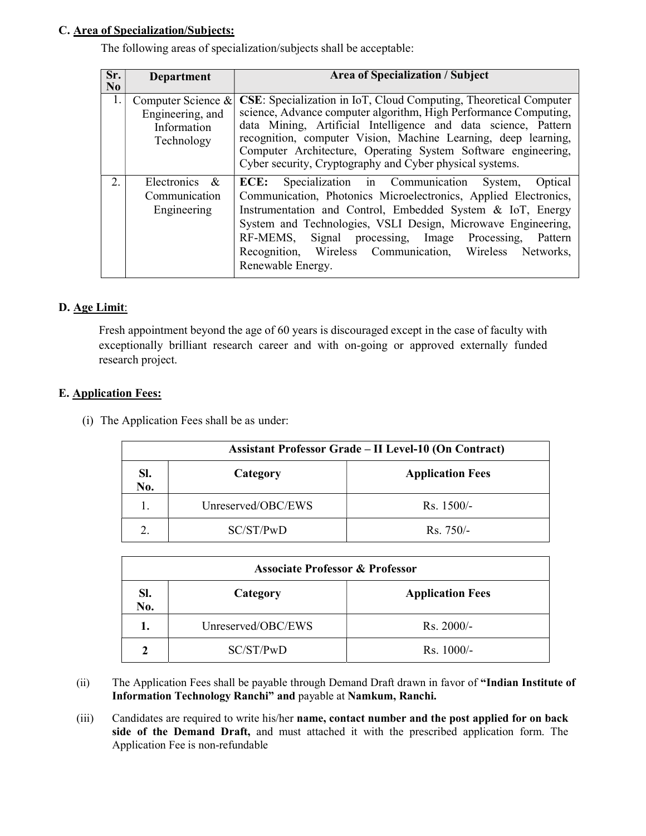## C. Area of Specialization/Subjects:

The following areas of specialization/subjects shall be acceptable:

| Sr.<br>N <sub>0</sub> | <b>Department</b>                                                   | <b>Area of Specialization / Subject</b>                                                                                                                                                                                                                                                                                                                                                                     |
|-----------------------|---------------------------------------------------------------------|-------------------------------------------------------------------------------------------------------------------------------------------------------------------------------------------------------------------------------------------------------------------------------------------------------------------------------------------------------------------------------------------------------------|
| 1.                    | Computer Science &<br>Engineering, and<br>Information<br>Technology | CSE: Specialization in IoT, Cloud Computing, Theoretical Computer<br>science, Advance computer algorithm, High Performance Computing,<br>data Mining, Artificial Intelligence and data science, Pattern<br>recognition, computer Vision, Machine Learning, deep learning,<br>Computer Architecture, Operating System Software engineering,<br>Cyber security, Cryptography and Cyber physical systems.      |
| $\overline{2}$ .      | Electronics &<br>Communication<br>Engineering                       | <b>ECE:</b> Specialization in Communication System, Optical<br>Communication, Photonics Microelectronics, Applied Electronics,<br>Instrumentation and Control, Embedded System & IoT, Energy<br>System and Technologies, VSLI Design, Microwave Engineering,<br>RF-MEMS,<br>Signal processing, Image Processing,<br>Pattern<br>Recognition, Wireless Communication, Wireless Networks,<br>Renewable Energy. |

## D. Age Limit:

Fresh appointment beyond the age of 60 years is discouraged except in the case of faculty with exceptionally brilliant research career and with on-going or approved externally funded research project.

### E. Application Fees:

(i) The Application Fees shall be as under:

| <b>Assistant Professor Grade - II Level-10 (On Contract)</b> |                    |                         |  |  |
|--------------------------------------------------------------|--------------------|-------------------------|--|--|
| SI.<br>No.                                                   | Category           | <b>Application Fees</b> |  |  |
| 1.                                                           | Unreserved/OBC/EWS | $Rs. 1500/-$            |  |  |
| 2.                                                           | SC/ST/PwD          | $\rm Rs. 750/-$         |  |  |

| <b>Associate Professor &amp; Professor</b> |           |                         |  |  |
|--------------------------------------------|-----------|-------------------------|--|--|
| SI.<br>Category<br>No.                     |           | <b>Application Fees</b> |  |  |
| Unreserved/OBC/EWS<br>1.                   |           | Rs. 2000/-              |  |  |
| $\mathbf 2$                                | SC/ST/PwD | $Rs. 1000/-$            |  |  |

- (ii) The Application Fees shall be payable through Demand Draft drawn in favor of "Indian Institute of Information Technology Ranchi" and payable at Namkum, Ranchi.
- (iii) Candidates are required to write his/her name, contact number and the post applied for on back side of the Demand Draft, and must attached it with the prescribed application form. The Application Fee is non-refundable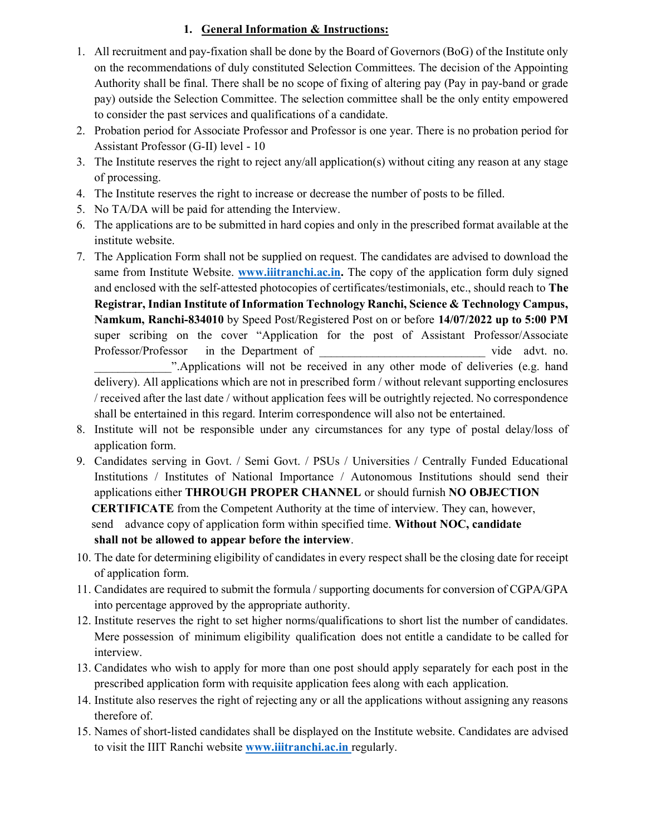# 1. General Information & Instructions:

- 1. All recruitment and pay-fixation shall be done by the Board of Governors (BoG) of the Institute only on the recommendations of duly constituted Selection Committees. The decision of the Appointing Authority shall be final. There shall be no scope of fixing of altering pay (Pay in pay-band or grade pay) outside the Selection Committee. The selection committee shall be the only entity empowered to consider the past services and qualifications of a candidate.
- 2. Probation period for Associate Professor and Professor is one year. There is no probation period for Assistant Professor (G-II) level - 10
- 3. The Institute reserves the right to reject any/all application(s) without citing any reason at any stage of processing.
- 4. The Institute reserves the right to increase or decrease the number of posts to be filled.
- 5. No TA/DA will be paid for attending the Interview.
- 6. The applications are to be submitted in hard copies and only in the prescribed format available at the institute website.
- 7. The Application Form shall not be supplied on request. The candidates are advised to download the same from Institute Website. **www.iiitranchi.ac.in.** The copy of the application form duly signed and enclosed with the self-attested photocopies of certificates/testimonials, etc., should reach to The Registrar, Indian Institute of Information Technology Ranchi, Science & Technology Campus, Namkum, Ranchi-834010 by Speed Post/Registered Post on or before 14/07/2022 up to 5:00 PM super scribing on the cover "Application for the post of Assistant Professor/Associate Professor/Professor in the Department of  $\Box$  vide advt. no. ".Applications will not be received in any other mode of deliveries (e.g. hand delivery). All applications which are not in prescribed form / without relevant supporting enclosures / received after the last date / without application fees will be outrightly rejected. No correspondence shall be entertained in this regard. Interim correspondence will also not be entertained.
- 8. Institute will not be responsible under any circumstances for any type of postal delay/loss of application form.
- 9. Candidates serving in Govt. / Semi Govt. / PSUs / Universities / Centrally Funded Educational Institutions / Institutes of National Importance / Autonomous Institutions should send their applications either THROUGH PROPER CHANNEL or should furnish NO OBJECTION CERTIFICATE from the Competent Authority at the time of interview. They can, however, send advance copy of application form within specified time. Without NOC, candidate shall not be allowed to appear before the interview.
- 10. The date for determining eligibility of candidates in every respect shall be the closing date for receipt of application form.
- 11. Candidates are required to submit the formula / supporting documents for conversion of CGPA/GPA into percentage approved by the appropriate authority.
- 12. Institute reserves the right to set higher norms/qualifications to short list the number of candidates. Mere possession of minimum eligibility qualification does not entitle a candidate to be called for interview.
- 13. Candidates who wish to apply for more than one post should apply separately for each post in the prescribed application form with requisite application fees along with each application.
- 14. Institute also reserves the right of rejecting any or all the applications without assigning any reasons therefore of.
- 15. Names of short-listed candidates shall be displayed on the Institute website. Candidates are advised to visit the IIIT Ranchi website **www.iiitranchi.ac.in** regularly.